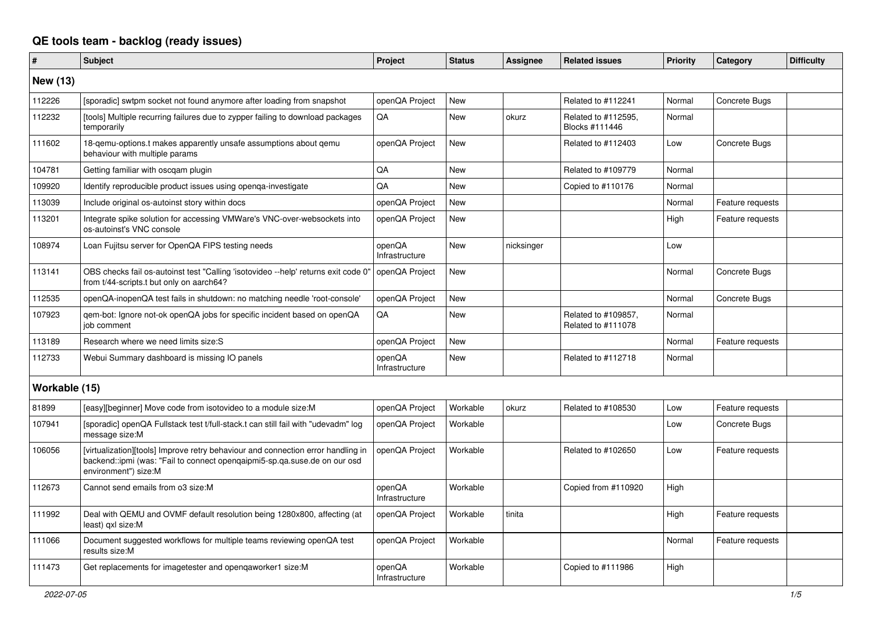## **QE tools team - backlog (ready issues)**

| #               | <b>Subject</b>                                                                                                                                                                        | Project                  | <b>Status</b> | Assignee   | <b>Related issues</b>                     | Priority | Category         | <b>Difficulty</b> |
|-----------------|---------------------------------------------------------------------------------------------------------------------------------------------------------------------------------------|--------------------------|---------------|------------|-------------------------------------------|----------|------------------|-------------------|
| <b>New (13)</b> |                                                                                                                                                                                       |                          |               |            |                                           |          |                  |                   |
| 112226          | [sporadic] swtpm socket not found anymore after loading from snapshot                                                                                                                 | openQA Project           | <b>New</b>    |            | Related to #112241                        | Normal   | Concrete Bugs    |                   |
| 112232          | [tools] Multiple recurring failures due to zypper failing to download packages<br>temporarily                                                                                         | QA                       | New           | okurz      | Related to #112595,<br>Blocks #111446     | Normal   |                  |                   |
| 111602          | 18-gemu-options.t makes apparently unsafe assumptions about gemu<br>behaviour with multiple params                                                                                    | openQA Project           | <b>New</b>    |            | Related to #112403                        | Low      | Concrete Bugs    |                   |
| 104781          | Getting familiar with oscgam plugin                                                                                                                                                   | QA                       | <b>New</b>    |            | Related to #109779                        | Normal   |                  |                   |
| 109920          | Identify reproducible product issues using openqa-investigate                                                                                                                         | <b>OA</b>                | <b>New</b>    |            | Copied to #110176                         | Normal   |                  |                   |
| 113039          | Include original os-autoinst story within docs                                                                                                                                        | openQA Project           | New           |            |                                           | Normal   | Feature requests |                   |
| 113201          | Integrate spike solution for accessing VMWare's VNC-over-websockets into<br>os-autoinst's VNC console                                                                                 | openQA Project           | <b>New</b>    |            |                                           | High     | Feature requests |                   |
| 108974          | Loan Fujitsu server for OpenQA FIPS testing needs                                                                                                                                     | openQA<br>Infrastructure | New           | nicksinger |                                           | Low      |                  |                   |
| 113141          | OBS checks fail os-autoinst test "Calling 'isotovideo --help' returns exit code 0"<br>from t/44-scripts.t but only on aarch64?                                                        | openQA Project           | <b>New</b>    |            |                                           | Normal   | Concrete Bugs    |                   |
| 112535          | openQA-inopenQA test fails in shutdown: no matching needle 'root-console'                                                                                                             | openQA Project           | <b>New</b>    |            |                                           | Normal   | Concrete Bugs    |                   |
| 107923          | gem-bot: Ignore not-ok openQA jobs for specific incident based on openQA<br>job comment                                                                                               | QA                       | <b>New</b>    |            | Related to #109857,<br>Related to #111078 | Normal   |                  |                   |
| 113189          | Research where we need limits size:S                                                                                                                                                  | openQA Project           | New           |            |                                           | Normal   | Feature requests |                   |
| 112733          | Webui Summary dashboard is missing IO panels                                                                                                                                          | openQA<br>Infrastructure | New           |            | Related to #112718                        | Normal   |                  |                   |
| Workable (15)   |                                                                                                                                                                                       |                          |               |            |                                           |          |                  |                   |
| 81899           | [easy][beginner] Move code from isotovideo to a module size: M                                                                                                                        | openQA Project           | Workable      | okurz      | Related to #108530                        | Low      | Feature requests |                   |
| 107941          | [sporadic] openQA Fullstack test t/full-stack.t can still fail with "udevadm" log<br>message size:M                                                                                   | openQA Project           | Workable      |            |                                           | Low      | Concrete Bugs    |                   |
| 106056          | [virtualization][tools] Improve retry behaviour and connection error handling in<br>backend::ipmi (was: "Fail to connect opengaipmi5-sp.qa.suse.de on our osd<br>environment") size:M | openQA Project           | Workable      |            | Related to #102650                        | Low      | Feature requests |                   |
| 112673          | Cannot send emails from o3 size:M                                                                                                                                                     | openQA<br>Infrastructure | Workable      |            | Copied from #110920                       | High     |                  |                   |
| 111992          | Deal with QEMU and OVMF default resolution being 1280x800, affecting (at<br>least) axl size:M                                                                                         | openQA Project           | Workable      | tinita     |                                           | High     | Feature requests |                   |
| 111066          | Document suggested workflows for multiple teams reviewing openQA test<br>results size:M                                                                                               | openQA Project           | Workable      |            |                                           | Normal   | Feature requests |                   |
| 111473          | Get replacements for imagetester and opengaworker1 size:M                                                                                                                             | openQA<br>Infrastructure | Workable      |            | Copied to #111986                         | High     |                  |                   |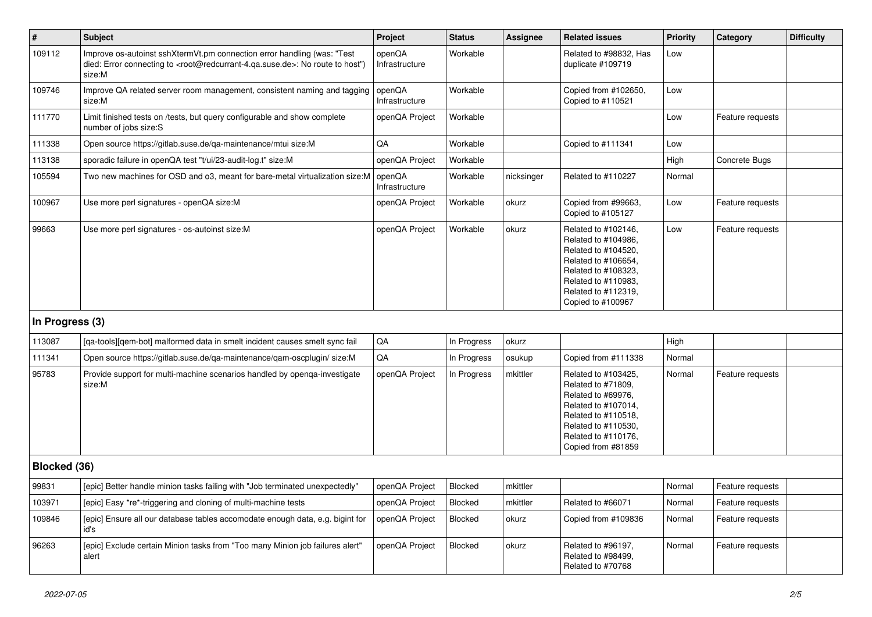| $\vert$ #       | <b>Subject</b>                                                                                                                                                                                    | Project                  | <b>Status</b>  | Assignee   | <b>Related issues</b>                                                                                                                                                              | <b>Priority</b> | Category         | <b>Difficulty</b> |
|-----------------|---------------------------------------------------------------------------------------------------------------------------------------------------------------------------------------------------|--------------------------|----------------|------------|------------------------------------------------------------------------------------------------------------------------------------------------------------------------------------|-----------------|------------------|-------------------|
| 109112          | Improve os-autoinst sshXtermVt.pm connection error handling (was: "Test<br>died: Error connecting to <root@redcurrant-4.ga.suse.de>: No route to host")<br/>size:M</root@redcurrant-4.ga.suse.de> | openQA<br>Infrastructure | Workable       |            | Related to #98832, Has<br>duplicate #109719                                                                                                                                        | Low             |                  |                   |
| 109746          | Improve QA related server room management, consistent naming and tagging<br>size:M                                                                                                                | openQA<br>Infrastructure | Workable       |            | Copied from #102650,<br>Copied to #110521                                                                                                                                          | Low             |                  |                   |
| 111770          | Limit finished tests on /tests, but query configurable and show complete<br>number of jobs size:S                                                                                                 | openQA Project           | Workable       |            |                                                                                                                                                                                    | Low             | Feature requests |                   |
| 111338          | Open source https://gitlab.suse.de/qa-maintenance/mtui size:M                                                                                                                                     | QA                       | Workable       |            | Copied to #111341                                                                                                                                                                  | Low             |                  |                   |
| 113138          | sporadic failure in openQA test "t/ui/23-audit-log.t" size:M                                                                                                                                      | openQA Project           | Workable       |            |                                                                                                                                                                                    | High            | Concrete Bugs    |                   |
| 105594          | Two new machines for OSD and o3, meant for bare-metal virtualization size:M                                                                                                                       | openQA<br>Infrastructure | Workable       | nicksinger | Related to #110227                                                                                                                                                                 | Normal          |                  |                   |
| 100967          | Use more perl signatures - openQA size:M                                                                                                                                                          | openQA Project           | Workable       | okurz      | Copied from #99663.<br>Copied to #105127                                                                                                                                           | Low             | Feature requests |                   |
| 99663           | Use more perl signatures - os-autoinst size:M                                                                                                                                                     | openQA Project           | Workable       | okurz      | Related to #102146,<br>Related to #104986,<br>Related to #104520,<br>Related to #106654,<br>Related to #108323,<br>Related to #110983,<br>Related to #112319.<br>Copied to #100967 | Low             | Feature requests |                   |
| In Progress (3) |                                                                                                                                                                                                   |                          |                |            |                                                                                                                                                                                    |                 |                  |                   |
| 113087          | [qa-tools][qem-bot] malformed data in smelt incident causes smelt sync fail                                                                                                                       | QA                       | In Progress    | okurz      |                                                                                                                                                                                    | High            |                  |                   |
| 111341          | Open source https://gitlab.suse.de/qa-maintenance/qam-oscplugin/size:M                                                                                                                            | QA                       | In Progress    | osukup     | Copied from #111338                                                                                                                                                                | Normal          |                  |                   |
| 95783           | Provide support for multi-machine scenarios handled by openqa-investigate<br>size:M                                                                                                               | openQA Project           | In Progress    | mkittler   | Related to #103425,<br>Related to #71809,<br>Related to #69976,<br>Related to #107014,<br>Related to #110518,<br>Related to #110530,<br>Related to #110176,<br>Copied from #81859  | Normal          | Feature requests |                   |
| Blocked (36)    |                                                                                                                                                                                                   |                          |                |            |                                                                                                                                                                                    |                 |                  |                   |
| 99831           | [epic] Better handle minion tasks failing with "Job terminated unexpectedly"                                                                                                                      | openQA Project           | <b>Blocked</b> | mkittler   |                                                                                                                                                                                    | Normal          | Feature requests |                   |
| 103971          | [epic] Easy *re*-triggering and cloning of multi-machine tests                                                                                                                                    | openQA Project           | <b>Blocked</b> | mkittler   | Related to #66071                                                                                                                                                                  | Normal          | Feature requests |                   |
| 109846          | [epic] Ensure all our database tables accomodate enough data, e.g. bigint for<br>id's                                                                                                             | openQA Project           | <b>Blocked</b> | okurz      | Copied from #109836                                                                                                                                                                | Normal          | Feature requests |                   |
| 96263           | [epic] Exclude certain Minion tasks from "Too many Minion job failures alert"<br>alert                                                                                                            | openQA Project           | Blocked        | okurz      | Related to #96197,<br>Related to #98499.<br>Related to #70768                                                                                                                      | Normal          | Feature requests |                   |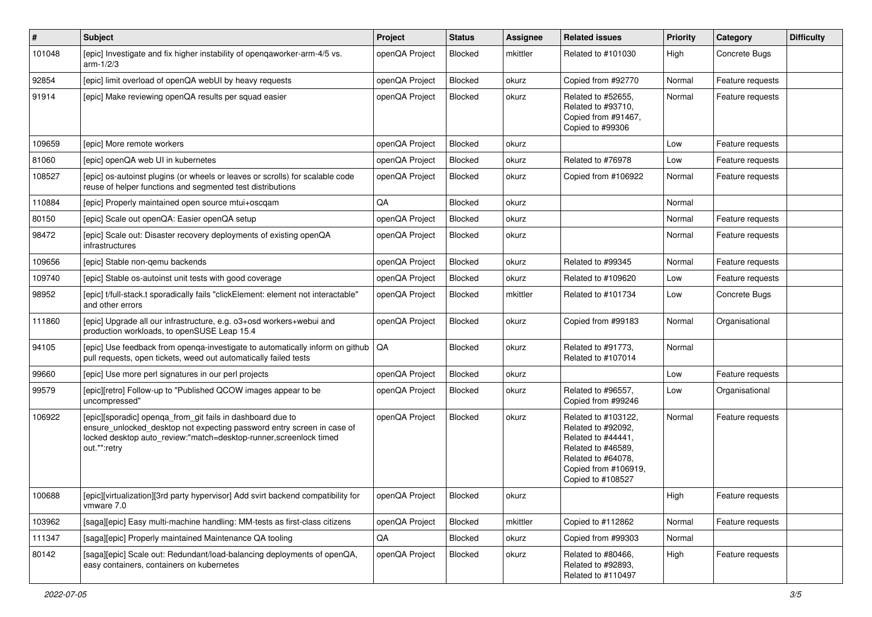| $\vert$ # | <b>Subject</b>                                                                                                                                                                                                            | Project        | <b>Status</b>  | <b>Assignee</b> | <b>Related issues</b>                                                                                                                                    | <b>Priority</b> | <b>Category</b>  | <b>Difficulty</b> |
|-----------|---------------------------------------------------------------------------------------------------------------------------------------------------------------------------------------------------------------------------|----------------|----------------|-----------------|----------------------------------------------------------------------------------------------------------------------------------------------------------|-----------------|------------------|-------------------|
| 101048    | [epic] Investigate and fix higher instability of openqaworker-arm-4/5 vs.<br>$arm-1/2/3$                                                                                                                                  | openQA Project | Blocked        | mkittler        | Related to #101030                                                                                                                                       | High            | Concrete Bugs    |                   |
| 92854     | [epic] limit overload of openQA webUI by heavy requests                                                                                                                                                                   | openQA Project | Blocked        | okurz           | Copied from #92770                                                                                                                                       | Normal          | Feature requests |                   |
| 91914     | [epic] Make reviewing openQA results per squad easier                                                                                                                                                                     | openQA Project | Blocked        | okurz           | Related to #52655,<br>Related to #93710,<br>Copied from #91467,<br>Copied to #99306                                                                      | Normal          | Feature requests |                   |
| 109659    | [epic] More remote workers                                                                                                                                                                                                | openQA Project | Blocked        | okurz           |                                                                                                                                                          | Low             | Feature requests |                   |
| 81060     | [epic] openQA web UI in kubernetes                                                                                                                                                                                        | openQA Project | Blocked        | okurz           | Related to #76978                                                                                                                                        | Low             | Feature requests |                   |
| 108527    | [epic] os-autoinst plugins (or wheels or leaves or scrolls) for scalable code<br>reuse of helper functions and segmented test distributions                                                                               | openQA Project | Blocked        | okurz           | Copied from #106922                                                                                                                                      | Normal          | Feature requests |                   |
| 110884    | [epic] Properly maintained open source mtui+oscqam                                                                                                                                                                        | QA             | Blocked        | okurz           |                                                                                                                                                          | Normal          |                  |                   |
| 80150     | [epic] Scale out openQA: Easier openQA setup                                                                                                                                                                              | openQA Project | Blocked        | okurz           |                                                                                                                                                          | Normal          | Feature requests |                   |
| 98472     | [epic] Scale out: Disaster recovery deployments of existing openQA<br>infrastructures                                                                                                                                     | openQA Project | Blocked        | okurz           |                                                                                                                                                          | Normal          | Feature requests |                   |
| 109656    | [epic] Stable non-gemu backends                                                                                                                                                                                           | openQA Project | Blocked        | okurz           | Related to #99345                                                                                                                                        | Normal          | Feature requests |                   |
| 109740    | [epic] Stable os-autoinst unit tests with good coverage                                                                                                                                                                   | openQA Project | <b>Blocked</b> | okurz           | Related to #109620                                                                                                                                       | Low             | Feature requests |                   |
| 98952     | [epic] t/full-stack.t sporadically fails "clickElement: element not interactable"<br>and other errors                                                                                                                     | openQA Project | Blocked        | mkittler        | Related to #101734                                                                                                                                       | Low             | Concrete Bugs    |                   |
| 111860    | [epic] Upgrade all our infrastructure, e.g. o3+osd workers+webui and<br>production workloads, to openSUSE Leap 15.4                                                                                                       | openQA Project | Blocked        | okurz           | Copied from #99183                                                                                                                                       | Normal          | Organisational   |                   |
| 94105     | [epic] Use feedback from openga-investigate to automatically inform on github<br>pull requests, open tickets, weed out automatically failed tests                                                                         | QA             | Blocked        | okurz           | Related to #91773,<br>Related to #107014                                                                                                                 | Normal          |                  |                   |
| 99660     | [epic] Use more perl signatures in our perl projects                                                                                                                                                                      | openQA Project | Blocked        | okurz           |                                                                                                                                                          | Low             | Feature requests |                   |
| 99579     | [epic][retro] Follow-up to "Published QCOW images appear to be<br>uncompressed"                                                                                                                                           | openQA Project | Blocked        | okurz           | Related to #96557,<br>Copied from #99246                                                                                                                 | Low             | Organisational   |                   |
| 106922    | [epic][sporadic] openqa_from_git fails in dashboard due to<br>ensure_unlocked_desktop not expecting password entry screen in case of<br>locked desktop auto review:"match=desktop-runner,screenlock timed<br>out.*":retry | openQA Project | Blocked        | okurz           | Related to #103122,<br>Related to #92092,<br>Related to #44441,<br>Related to #46589,<br>Related to #64078,<br>Copied from #106919,<br>Copied to #108527 | Normal          | Feature requests |                   |
| 100688    | [epic][virtualization][3rd party hypervisor] Add svirt backend compatibility for<br>vmware 7.0                                                                                                                            | openQA Project | Blocked        | okurz           |                                                                                                                                                          | High            | Feature requests |                   |
| 103962    | [saga][epic] Easy multi-machine handling: MM-tests as first-class citizens                                                                                                                                                | openQA Project | Blocked        | mkittler        | Copied to #112862                                                                                                                                        | Normal          | Feature requests |                   |
| 111347    | [saga][epic] Properly maintained Maintenance QA tooling                                                                                                                                                                   | QA             | Blocked        | okurz           | Copied from #99303                                                                                                                                       | Normal          |                  |                   |
| 80142     | [saga][epic] Scale out: Redundant/load-balancing deployments of openQA,<br>easy containers, containers on kubernetes                                                                                                      | openQA Project | Blocked        | okurz           | Related to #80466,<br>Related to #92893,<br>Related to #110497                                                                                           | High            | Feature requests |                   |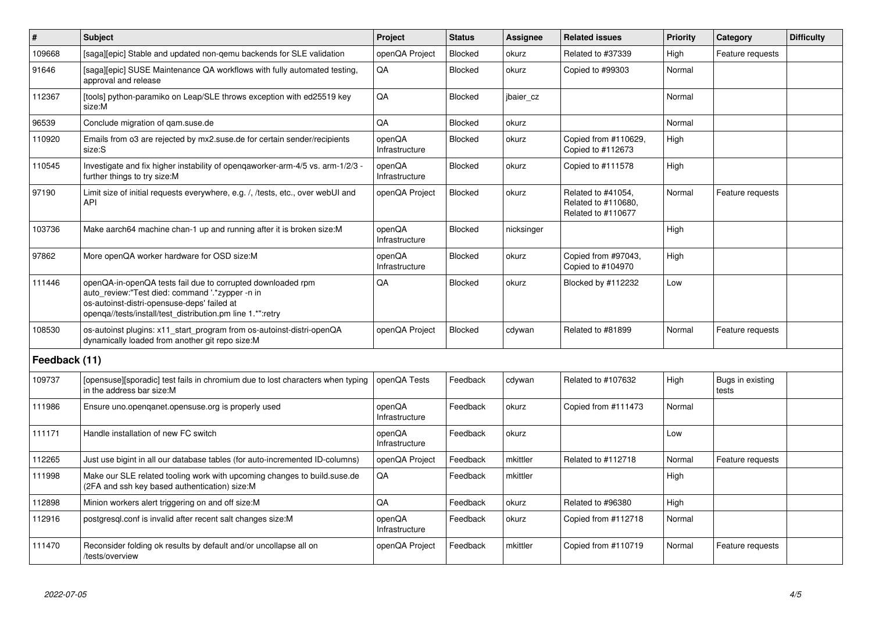| $\vert$ #     | <b>Subject</b>                                                                                                                                                                                                              | Project                  | <b>Status</b>  | <b>Assignee</b> | <b>Related issues</b>                                           | <b>Priority</b> | Category                  | <b>Difficulty</b> |
|---------------|-----------------------------------------------------------------------------------------------------------------------------------------------------------------------------------------------------------------------------|--------------------------|----------------|-----------------|-----------------------------------------------------------------|-----------------|---------------------------|-------------------|
| 109668        | [saga][epic] Stable and updated non-gemu backends for SLE validation                                                                                                                                                        | openQA Project           | Blocked        | okurz           | Related to #37339                                               | High            | Feature requests          |                   |
| 91646         | [saga][epic] SUSE Maintenance QA workflows with fully automated testing,<br>approval and release                                                                                                                            | QA                       | <b>Blocked</b> | okurz           | Copied to #99303                                                | Normal          |                           |                   |
| 112367        | [tools] python-paramiko on Leap/SLE throws exception with ed25519 key<br>size:M                                                                                                                                             | QA                       | <b>Blocked</b> | jbaier_cz       |                                                                 | Normal          |                           |                   |
| 96539         | Conclude migration of gam.suse.de                                                                                                                                                                                           | QA                       | <b>Blocked</b> | okurz           |                                                                 | Normal          |                           |                   |
| 110920        | Emails from o3 are rejected by mx2.suse.de for certain sender/recipients<br>size:S                                                                                                                                          | openQA<br>Infrastructure | <b>Blocked</b> | okurz           | Copied from #110629,<br>Copied to #112673                       | High            |                           |                   |
| 110545        | Investigate and fix higher instability of opengaworker-arm-4/5 vs. arm-1/2/3 -<br>further things to try size:M                                                                                                              | openQA<br>Infrastructure | <b>Blocked</b> | okurz           | Copied to #111578                                               | High            |                           |                   |
| 97190         | Limit size of initial requests everywhere, e.g. /, /tests, etc., over webUI and<br>API                                                                                                                                      | openQA Project           | <b>Blocked</b> | okurz           | Related to #41054,<br>Related to #110680,<br>Related to #110677 | Normal          | Feature requests          |                   |
| 103736        | Make aarch64 machine chan-1 up and running after it is broken size:M                                                                                                                                                        | openQA<br>Infrastructure | <b>Blocked</b> | nicksinger      |                                                                 | High            |                           |                   |
| 97862         | More openQA worker hardware for OSD size:M                                                                                                                                                                                  | openQA<br>Infrastructure | Blocked        | okurz           | Copied from #97043,<br>Copied to #104970                        | High            |                           |                   |
| 111446        | openQA-in-openQA tests fail due to corrupted downloaded rpm<br>auto review:"Test died: command '.*zypper -n in<br>os-autoinst-distri-opensuse-deps' failed at<br>openqa//tests/install/test_distribution.pm line 1.*":retry | QA                       | Blocked        | okurz           | Blocked by #112232                                              | Low             |                           |                   |
| 108530        | os-autoinst plugins: x11 start program from os-autoinst-distri-openQA<br>dynamically loaded from another git repo size:M                                                                                                    | openQA Project           | <b>Blocked</b> | cdywan          | Related to #81899                                               | Normal          | Feature requests          |                   |
| Feedback (11) |                                                                                                                                                                                                                             |                          |                |                 |                                                                 |                 |                           |                   |
| 109737        | [opensuse][sporadic] test fails in chromium due to lost characters when typing<br>in the address bar size:M                                                                                                                 | openQA Tests             | Feedback       | cdywan          | Related to #107632                                              | High            | Bugs in existing<br>tests |                   |
| 111986        | Ensure uno openganet opensuse org is properly used                                                                                                                                                                          | openQA<br>Infrastructure | Feedback       | okurz           | Copied from #111473                                             | Normal          |                           |                   |
| 111171        | Handle installation of new FC switch                                                                                                                                                                                        | openQA<br>Infrastructure | Feedback       | okurz           |                                                                 | Low             |                           |                   |
| 112265        | Just use bigint in all our database tables (for auto-incremented ID-columns)                                                                                                                                                | openQA Project           | Feedback       | mkittler        | Related to #112718                                              | Normal          | Feature requests          |                   |
| 111998        | Make our SLE related tooling work with upcoming changes to build suse de<br>(2FA and ssh key based authentication) size:M                                                                                                   | QA                       | Feedback       | mkittler        |                                                                 | High            |                           |                   |
| 112898        | Minion workers alert triggering on and off size:M                                                                                                                                                                           | QA                       | Feedback       | okurz           | Related to #96380                                               | High            |                           |                   |
| 112916        | postgresql.conf is invalid after recent salt changes size:M                                                                                                                                                                 | openQA<br>Infrastructure | Feedback       | okurz           | Copied from #112718                                             | Normal          |                           |                   |
| 111470        | Reconsider folding ok results by default and/or uncollapse all on<br>/tests/overview                                                                                                                                        | openQA Project           | Feedback       | mkittler        | Copied from #110719                                             | Normal          | Feature requests          |                   |